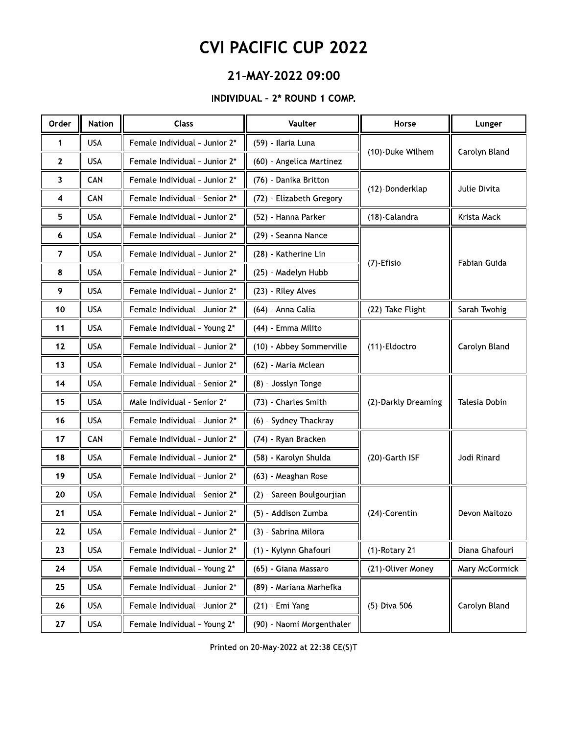### 21-MAY-2022 09:00

#### INDIVIDUAL - 2\* ROUND 1 COMP.

| Order          | <b>Nation</b> | <b>Class</b>                  | Vaulter                   | Horse               | Lunger         |
|----------------|---------------|-------------------------------|---------------------------|---------------------|----------------|
| 1              | <b>USA</b>    | Female Individual - Junior 2* | (59) - Ilaria Luna        | (10)-Duke Wilhem    | Carolyn Bland  |
| 2              | <b>USA</b>    | Female Individual - Junior 2* | (60) - Angelica Martinez  |                     |                |
| 3              | CAN           | Female Individual - Junior 2* | (76) - Danika Britton     | (12)-Donderklap     | Julie Divita   |
| 4              | CAN           | Female Individual - Senior 2* | (72) - Elizabeth Gregory  |                     |                |
| 5              | <b>USA</b>    | Female Individual - Junior 2* | (52) - Hanna Parker       | (18)-Calandra       | Krista Mack    |
| 6              | <b>USA</b>    | Female Individual - Junior 2* | (29) - Seanna Nance       |                     |                |
| $\overline{7}$ | <b>USA</b>    | Female Individual - Junior 2* | (28) - Katherine Lin      | (7)-Efisio          | Fabian Guida   |
| 8              | <b>USA</b>    | Female Individual - Junior 2* | (25) - Madelyn Hubb       |                     |                |
| 9              | <b>USA</b>    | Female Individual - Junior 2* | (23) - Riley Alves        |                     |                |
| 10             | <b>USA</b>    | Female Individual - Junior 2* | (64) - Anna Calia         | (22)-Take Flight    | Sarah Twohig   |
| 11             | <b>USA</b>    | Female Individual - Young 2*  | (44) - Emma Milito        |                     |                |
| 12             | <b>USA</b>    | Female Individual - Junior 2* | (10) - Abbey Sommerville  | (11)-Eldoctro       | Carolyn Bland  |
| 13             | <b>USA</b>    | Female Individual - Junior 2* | (62) - Maria Mclean       |                     |                |
| 14             | <b>USA</b>    | Female Individual - Senior 2* | (8) - Josslyn Tonge       |                     |                |
| 15             | <b>USA</b>    | Male Individual - Senior 2*   | (73) - Charles Smith      | (2)-Darkly Dreaming | Talesia Dobin  |
| 16             | <b>USA</b>    | Female Individual - Junior 2* | (6) - Sydney Thackray     |                     |                |
| 17             | CAN           | Female Individual - Junior 2* | (74) - Ryan Bracken       |                     |                |
| 18             | <b>USA</b>    | Female Individual - Junior 2* | (58) - Karolyn Shulda     | (20)-Garth ISF      | Jodi Rinard    |
| 19             | <b>USA</b>    | Female Individual - Junior 2* | (63) - Meaghan Rose       |                     |                |
| 20             | <b>USA</b>    | Female Individual - Senior 2* | (2) - Sareen Boulgourjian |                     |                |
| 21             | <b>USA</b>    | Female Individual - Junior 2* | (5) - Addison Zumba       | (24)-Corentin       | Devon Maitozo  |
| 22             | <b>USA</b>    | Female Individual - Junior 2* | (3) - Sabrina Milora      |                     |                |
| 23             | <b>USA</b>    | Female Individual - Junior 2* | (1) - Kylynn Ghafouri     | $(1)$ -Rotary 21    | Diana Ghafouri |
| 24             | <b>USA</b>    | Female Individual - Young 2*  | (65) - Giana Massaro      | (21)-Oliver Money   | Mary McCormick |
| 25             | <b>USA</b>    | Female Individual - Junior 2* | (89) - Mariana Marhefka   |                     |                |
| 26             | <b>USA</b>    | Female Individual - Junior 2* | (21) - Emi Yang           | (5)-Diva 506        | Carolyn Bland  |
| 27             | <b>USA</b>    | Female Individual - Young 2*  | (90) - Naomi Morgenthaler |                     |                |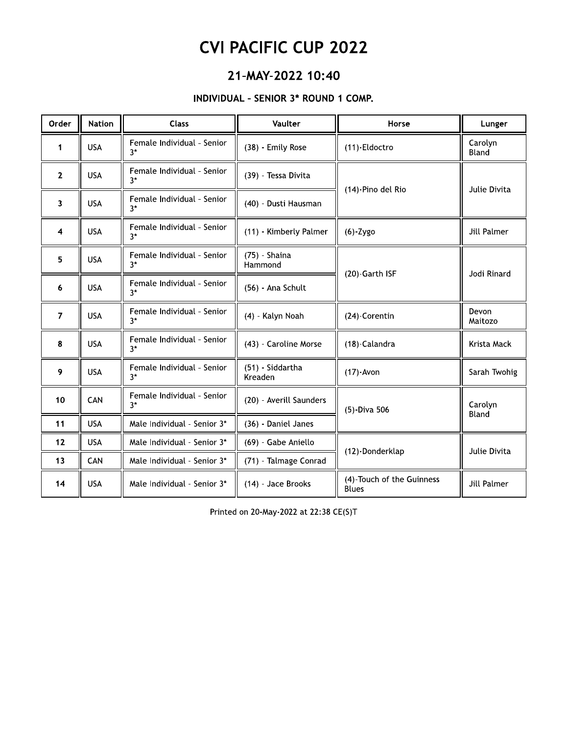## Z1-MAY-ZUZZ 10:40

### $\overline{P}$  - INDIVIDUAL - SENIOR 3" ROUND 1

|                                      | <b>CVI PACIFIC CUP 2022</b>                                 |                                     |                             |                                           |                    |  |  |  |
|--------------------------------------|-------------------------------------------------------------|-------------------------------------|-----------------------------|-------------------------------------------|--------------------|--|--|--|
| 21-MAY-2022 10:40                    |                                                             |                                     |                             |                                           |                    |  |  |  |
| INDIVIDUAL - SENIOR 3* ROUND 1 COMP. |                                                             |                                     |                             |                                           |                    |  |  |  |
| Order                                | <b>Nation</b><br><b>Class</b><br>Vaulter<br>Horse<br>Lunger |                                     |                             |                                           |                    |  |  |  |
| $\mathbf{1}$                         | <b>USA</b>                                                  | Female Individual - Senior<br>$3*$  | (38) - Emily Rose           | (11)-Eldoctro                             | Carolyn<br>Bland   |  |  |  |
| $\mathbf{2}$                         | <b>USA</b>                                                  | Female Individual - Senior<br>$3*$  | (39) - Tessa Divita         | (14)-Pino del Rio                         | Julie Divita       |  |  |  |
| 3                                    | <b>USA</b>                                                  | Female Individual - Senior<br>$3*$  | (40) - Dusti Hausman        |                                           |                    |  |  |  |
| 4                                    | <b>USA</b>                                                  | Female Individual - Senior<br>$3^*$ | (11) - Kimberly Palmer      | $(6)$ -Zygo                               | <b>Jill Palmer</b> |  |  |  |
| 5                                    | <b>USA</b>                                                  | Female Individual - Senior<br>$3*$  | (75) - Shaina<br>Hammond    | (20)-Garth ISF                            | Jodi Rinard        |  |  |  |
| 6                                    | <b>USA</b>                                                  | Female Individual - Senior<br>$3^*$ | (56) - Ana Schult           |                                           |                    |  |  |  |
| $\overline{7}$                       | <b>USA</b>                                                  | Female Individual - Senior<br>$3*$  | (4) Kalyn Noah              | (24)-Corentin                             | Devon<br>Maitozo   |  |  |  |
| 8                                    | <b>USA</b>                                                  | Female Individual - Senior<br>$3*$  | (43) - Caroline Morse       | (18)-Calandra                             | Krista Mack        |  |  |  |
| 9                                    | <b>USA</b>                                                  | Female Individual - Senior<br>$3^*$ | (51) - Siddartha<br>Kreaden | $(17)$ -Avon                              | Sarah Twohig       |  |  |  |
| 10                                   | CAN                                                         | Female Individual - Senior<br>$3^*$ | (20) - Averill Saunders     | (5)-Diva 506                              | Carolyn            |  |  |  |
| 11                                   | <b>USA</b>                                                  | Male Individual - Senior 3*         | (36) - Daniel Janes         |                                           | Bland              |  |  |  |
| 12                                   | <b>USA</b>                                                  | Male Individual - Senior 3*         | (69) - Gabe Aniello         | (12)-Donderklap                           | Julie Divita       |  |  |  |
| 13                                   | CAN                                                         | Male Individual - Senior 3*         | (71) - Talmage Conrad       |                                           |                    |  |  |  |
| 14                                   | <b>USA</b>                                                  | Male Individual - Senior 3*         | (14) - Jace Brooks          | (4)-Touch of the Guinness<br><b>Blues</b> | Jill Palmer        |  |  |  |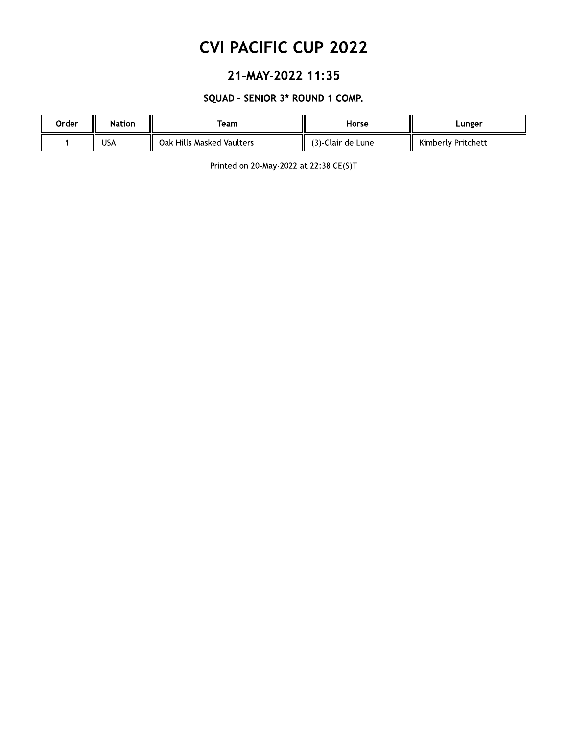### 21-MAY-2022 11:35

#### SQUAD - SENIOR 3\* ROUND 1 COMP.

| Order | <b>Nation</b> | Team                      | Horse             | Lunger             |
|-------|---------------|---------------------------|-------------------|--------------------|
|       | <b>USA</b>    | Oak Hills Masked Vaulters | (3)-Clair de Lune | Kimberly Pritchett |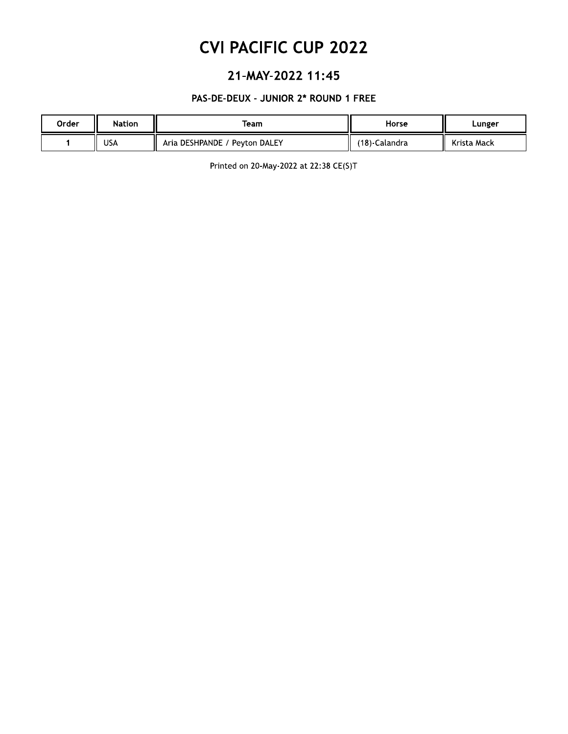### 21-MAY-2022 11:45

#### PAS-DE-DEUX - JUNIOR 2\* ROUND 1 FREE

| Order | <b>Nation</b> | Team                          | Horse         | Lunger      |  |
|-------|---------------|-------------------------------|---------------|-------------|--|
|       | USA           | Aria DESHPANDE / Peyton DALEY | (18)-Calandra | Krista Mack |  |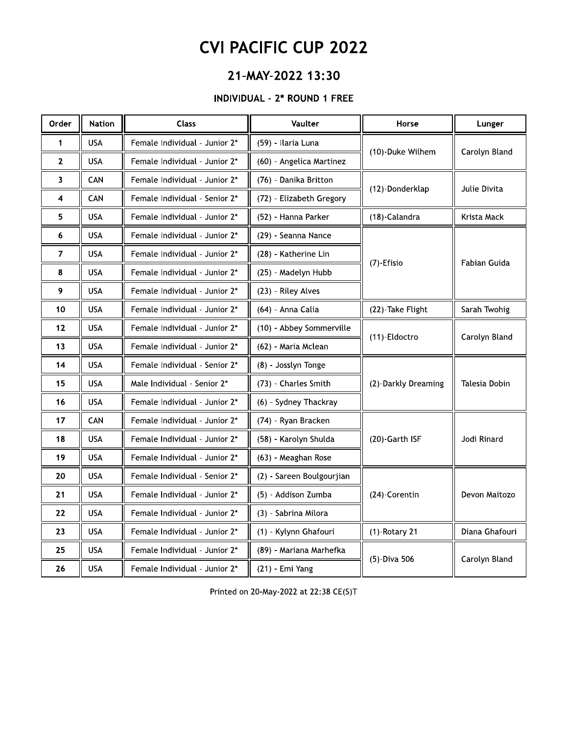### 21-MAY-2022 13:30

#### **INDIVIDUAL - 2\* ROUND 1 FREE**

| Order        | <b>Nation</b> | <b>Class</b>                  | Vaulter                   | Horse               | Lunger         |
|--------------|---------------|-------------------------------|---------------------------|---------------------|----------------|
| 1            | <b>USA</b>    | Female Individual - Junior 2* | (59) - Ilaria Luna        | (10)-Duke Wilhem    | Carolyn Bland  |
| $\mathbf{2}$ | <b>USA</b>    | Female Individual - Junior 2* | (60) - Angelica Martinez  |                     |                |
| 3            | CAN           | Female Individual - Junior 2* | (76) - Danika Britton     | (12)-Donderklap     | Julie Divita   |
| 4            | CAN           | Female Individual - Senior 2* | (72) - Elizabeth Gregory  |                     |                |
| 5            | <b>USA</b>    | Female Individual - Junior 2* | (52) - Hanna Parker       | (18)-Calandra       | Krista Mack    |
| 6            | <b>USA</b>    | Female Individual - Junior 2* | (29) - Seanna Nance       |                     |                |
| 7            | <b>USA</b>    | Female Individual - Junior 2* | (28) - Katherine Lin      | (7)-Efisio          | Fabian Guida   |
| 8            | <b>USA</b>    | Female Individual - Junior 2* | (25) - Madelyn Hubb       |                     |                |
| 9            | <b>USA</b>    | Female Individual - Junior 2* | (23) - Riley Alves        |                     |                |
| 10           | <b>USA</b>    | Female Individual - Junior 2* | (64) - Anna Calia         | (22)-Take Flight    | Sarah Twohig   |
| 12           | <b>USA</b>    | Female Individual - Junior 2* | (10) - Abbey Sommerville  | (11)-Eldoctro       | Carolyn Bland  |
| 13           | <b>USA</b>    | Female Individual - Junior 2* | (62) - Maria Mclean       |                     |                |
| 14           | <b>USA</b>    | Female Individual - Senior 2* | (8) - Josslyn Tonge       |                     |                |
| 15           | <b>USA</b>    | Male Individual - Senior 2*   | (73) - Charles Smith      | (2)-Darkly Dreaming | Talesia Dobin  |
| 16           | <b>USA</b>    | Female Individual - Junior 2* | (6) - Sydney Thackray     |                     |                |
| 17           | CAN           | Female Individual - Junior 2* | (74) - Ryan Bracken       |                     |                |
| 18           | <b>USA</b>    | Female Individual - Junior 2* | (58) - Karolyn Shulda     | (20)-Garth ISF      | Jodi Rinard    |
| 19           | <b>USA</b>    | Female Individual - Junior 2* | (63) - Meaghan Rose       |                     |                |
| 20           | <b>USA</b>    | Female Individual - Senior 2* | (2) - Sareen Boulgourjian |                     |                |
| 21           | <b>USA</b>    | Female Individual - Junior 2* | (5) - Addison Zumba       | (24)-Corentin       | Devon Maitozo  |
| 22           | <b>USA</b>    | Female Individual - Junior 2* | (3) - Sabrina Milora      |                     |                |
| 23           | <b>USA</b>    | Female Individual - Junior 2* | (1) - Kylynn Ghafouri     | (1)-Rotary 21       | Diana Ghafouri |
| 25           | <b>USA</b>    | Female Individual - Junior 2* | (89) - Mariana Marhefka   | (5) Diva 506        |                |
| 26           | <b>USA</b>    | Female Individual - Junior 2* | (21) - Emi Yang           |                     | Carolyn Bland  |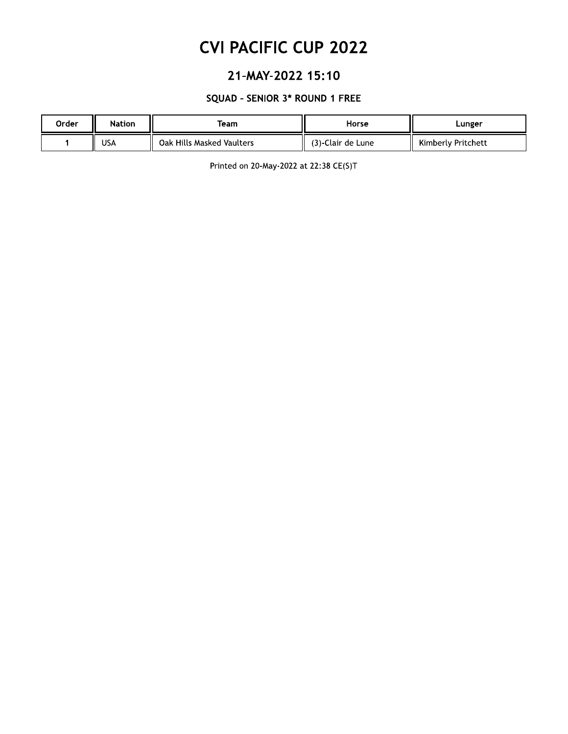### 21-MAY-2022 15:10

#### SQUAD - SENIOR 3\* ROUND 1 FREE

| Order | <b>Nation</b> | Team                      | Horse             | Lunger             |
|-------|---------------|---------------------------|-------------------|--------------------|
|       | USA           | Oak Hills Masked Vaulters | (3)-Clair de Lune | Kimberly Pritchett |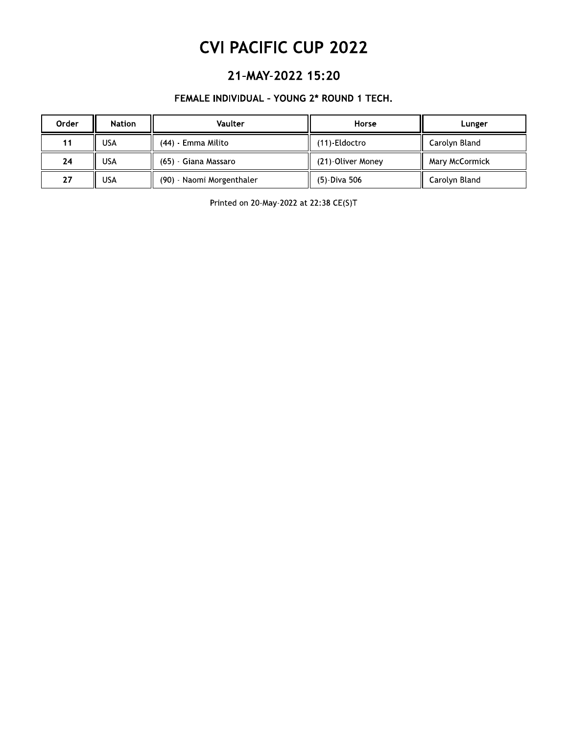### 21-MAY-2022 15:20

#### FEMALE INDIVIDUAL - YOUNG 2\* ROUND 1 TECH.

| Order | <b>Nation</b> | Vaulter                   | Horse             | Lunger         |
|-------|---------------|---------------------------|-------------------|----------------|
| 11    | <b>USA</b>    | (44) - Emma Milito        | (11)-Eldoctro     | Carolyn Bland  |
| 24    | USA           | (65) - Giana Massaro      | (21)-Oliver Money | Mary McCormick |
| 27    | USA           | (90) - Naomi Morgenthaler | (5)-Diva 506      | Carolyn Bland  |